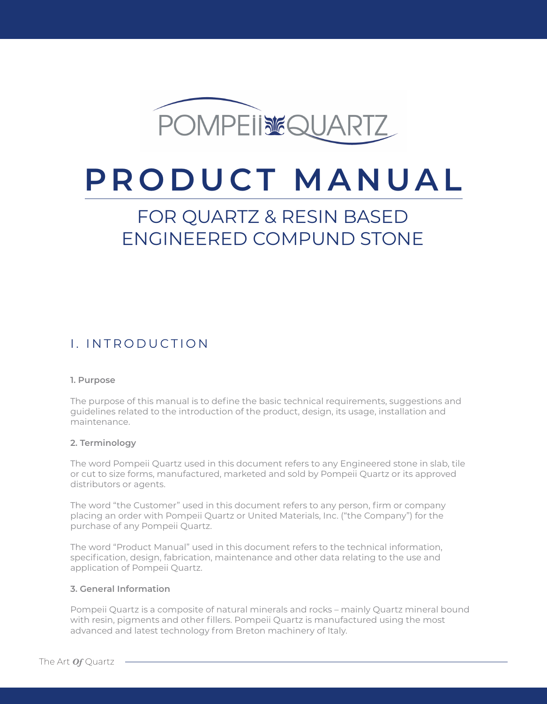

# **PRODUCT MANUAL**

## FOR QUARTZ & RESIN BASED ENGINEERED COMPUND STONE

## I. INTRODUCTION

#### **1. Purpose**

The purpose of this manual is to define the basic technical requirements, suggestions and guidelines related to the introduction of the product, design, its usage, installation and maintenance.

#### **2. Terminology**

The word Pompeii Quartz used in this document refers to any Engineered stone in slab, tile or cut to size forms, manufactured, marketed and sold by Pompeii Quartz or its approved distributors or agents.

The word "the Customer" used in this document refers to any person, firm or company placing an order with Pompeii Quartz or United Materials, Inc. ("the Company") for the purchase of any Pompeii Quartz.

The word "Product Manual" used in this document refers to the technical information, specification, design, fabrication, maintenance and other data relating to the use and application of Pompeii Quartz.

#### **3. General Information**

Pompeii Quartz is a composite of natural minerals and rocks – mainly Quartz mineral bound with resin, pigments and other fillers. Pompeii Quartz is manufactured using the most advanced and latest technology from Breton machinery of Italy.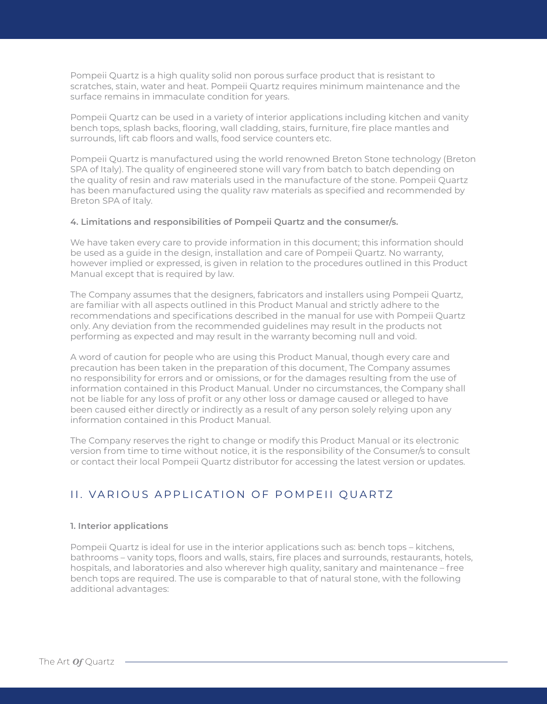Pompeii Quartz is a high quality solid non porous surface product that is resistant to scratches, stain, water and heat. Pompeii Quartz requires minimum maintenance and the surface remains in immaculate condition for years.

Pompeii Quartz can be used in a variety of interior applications including kitchen and vanity bench tops, splash backs, flooring, wall cladding, stairs, furniture, fire place mantles and surrounds, lift cab floors and walls, food service counters etc.

Pompeii Quartz is manufactured using the world renowned Breton Stone technology (Breton SPA of Italy). The quality of engineered stone will vary from batch to batch depending on the quality of resin and raw materials used in the manufacture of the stone. Pompeii Quartz has been manufactured using the quality raw materials as specified and recommended by Breton SPA of Italy.

#### **4. Limitations and responsibilities of Pompeii Quartz and the consumer/s.**

We have taken every care to provide information in this document; this information should be used as a guide in the design, installation and care of Pompeii Quartz. No warranty, however implied or expressed, is given in relation to the procedures outlined in this Product Manual except that is required by law.

The Company assumes that the designers, fabricators and installers using Pompeii Quartz, are familiar with all aspects outlined in this Product Manual and strictly adhere to the recommendations and specifications described in the manual for use with Pompeii Quartz only. Any deviation from the recommended guidelines may result in the products not performing as expected and may result in the warranty becoming null and void.

A word of caution for people who are using this Product Manual, though every care and precaution has been taken in the preparation of this document, The Company assumes no responsibility for errors and or omissions, or for the damages resulting from the use of information contained in this Product Manual. Under no circumstances, the Company shall not be liable for any loss of profit or any other loss or damage caused or alleged to have been caused either directly or indirectly as a result of any person solely relying upon any information contained in this Product Manual.

The Company reserves the right to change or modify this Product Manual or its electronic version from time to time without notice, it is the responsibility of the Consumer/s to consult or contact their local Pompeii Quartz distributor for accessing the latest version or updates.

### II. VARIOUS APPLICATION OF POMPEII QUARTZ

#### **1. Interior applications**

Pompeii Quartz is ideal for use in the interior applications such as: bench tops – kitchens, bathrooms – vanity tops, floors and walls, stairs, fire places and surrounds, restaurants, hotels, hospitals, and laboratories and also wherever high quality, sanitary and maintenance – free bench tops are required. The use is comparable to that of natural stone, with the following additional advantages: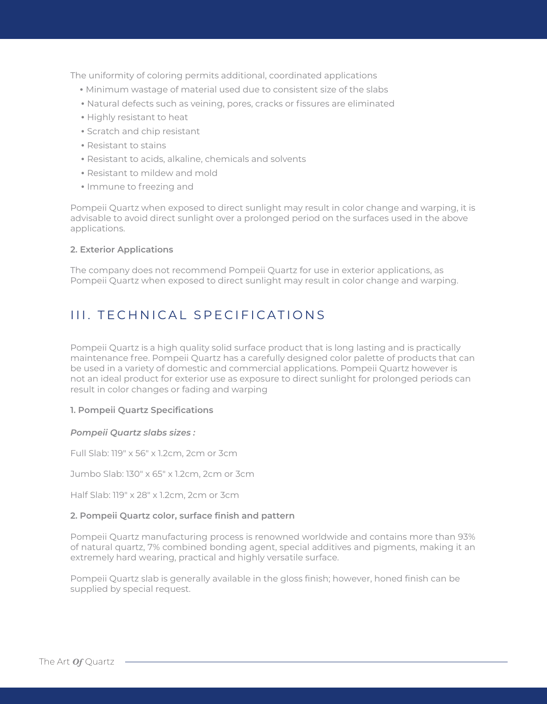The uniformity of coloring permits additional, coordinated applications

- •Minimum wastage of material used due to consistent size of the slabs
- •Natural defects such as veining, pores, cracks or fissures are eliminated
- •Highly resistant to heat
- •Scratch and chip resistant
- •Resistant to stains
- •Resistant to acids, alkaline, chemicals and solvents
- •Resistant to mildew and mold
- •Immune to freezing and

Pompeii Quartz when exposed to direct sunlight may result in color change and warping, it is advisable to avoid direct sunlight over a prolonged period on the surfaces used in the above applications.

#### **2. Exterior Applications**

The company does not recommend Pompeii Quartz for use in exterior applications, as Pompeii Quartz when exposed to direct sunlight may result in color change and warping.

## III. TECHNICAL SPECIFICATIONS

Pompeii Quartz is a high quality solid surface product that is long lasting and is practically maintenance free. Pompeii Quartz has a carefully designed color palette of products that can be used in a variety of domestic and commercial applications. Pompeii Quartz however is not an ideal product for exterior use as exposure to direct sunlight for prolonged periods can result in color changes or fading and warping

#### **1. Pompeii Quartz Specifications**

#### *Pompeii Quartz slabs sizes :*

Full Slab: 119" x 56" x 1.2cm, 2cm or 3cm

Jumbo Slab: 130" x 65" x 1.2cm, 2cm or 3cm

Half Slab: 119" x 28" x 1.2cm, 2cm or 3cm

#### **2. Pompeii Quartz color, surface finish and pattern**

Pompeii Quartz manufacturing process is renowned worldwide and contains more than 93% of natural quartz, 7% combined bonding agent, special additives and pigments, making it an extremely hard wearing, practical and highly versatile surface.

Pompeii Quartz slab is generally available in the gloss finish; however, honed finish can be supplied by special request.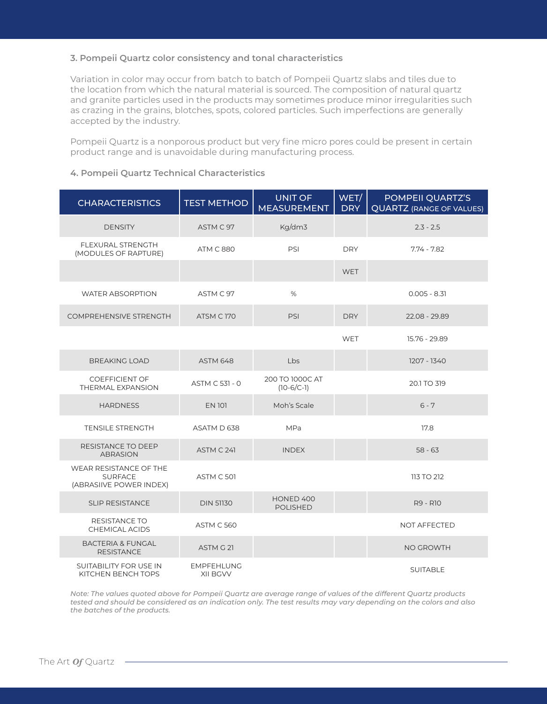#### **3. Pompeii Quartz color consistency and tonal characteristics**

Variation in color may occur from batch to batch of Pompeii Quartz slabs and tiles due to the location from which the natural material is sourced. The composition of natural quartz and granite particles used in the products may sometimes produce minor irregularities such as crazing in the grains, blotches, spots, colored particles. Such imperfections are generally accepted by the industry.

Pompeii Quartz is a nonporous product but very fine micro pores could be present in certain product range and is unavoidable during manufacturing process.

#### **4. Pompeii Quartz Technical Characteristics**

| <b>CHARACTERISTICS</b>                                              | <b>TEST METHOD</b>            | <b>UNIT OF</b><br><b>MEASUREMENT</b> | WET/<br><b>DRY</b> | POMPEII QUARTZ'S<br><b>QUARTZ (RANGE OF VALUES)</b> |
|---------------------------------------------------------------------|-------------------------------|--------------------------------------|--------------------|-----------------------------------------------------|
| <b>DENSITY</b>                                                      | ASTM C 97                     | Kg/dm3                               |                    | $2.3 - 2.5$                                         |
| FLEXURAL STRENGTH<br>(MODULES OF RAPTURE)                           | <b>ATM C 880</b>              | PSI                                  | <b>DRY</b>         | $7.74 - 7.82$                                       |
|                                                                     |                               |                                      | <b>WET</b>         |                                                     |
| <b>WATER ABSORPTION</b>                                             | ASTM C 97                     | $\%$                                 |                    | $0.005 - 8.31$                                      |
| <b>COMPREHENSIVE STRENGTH</b>                                       | ATSM C170                     | PSI                                  | <b>DRY</b>         | 22.08 - 29.89                                       |
|                                                                     |                               |                                      | <b>WET</b>         | 15.76 - 29.89                                       |
| <b>BREAKING LOAD</b>                                                | <b>ASTM 648</b>               | Lbs                                  |                    | 1207 - 1340                                         |
| <b>COEFFICIENT OF</b><br>THERMAL EXPANSION                          | ASTM C 531 - 0                | 200 TO 1000C AT<br>$(10-6/C-1)$      |                    | 20.1 TO 319                                         |
| <b>HARDNESS</b>                                                     | <b>EN 101</b>                 | Moh's Scale                          |                    | $6 - 7$                                             |
| <b>TENSILE STRENGTH</b>                                             | ASATM D 638                   | <b>MPa</b>                           |                    | 17.8                                                |
| <b>RESISTANCE TO DEEP</b><br><b>ABRASION</b>                        | ASTM C 241                    | <b>INDEX</b>                         |                    | $58 - 63$                                           |
| WEAR RESISTANCE OF THE<br><b>SURFACE</b><br>(ABRASIIVE POWER INDEX) | ASTM C 501                    |                                      |                    | 113 TO 212                                          |
| <b>SLIP RESISTANCE</b>                                              | <b>DIN 51130</b>              | HONED 400<br><b>POLISHED</b>         |                    | R9 - R10                                            |
| RESISTANCE TO<br><b>CHEMICAL ACIDS</b>                              | <b>ASTM C 560</b>             |                                      |                    | <b>NOT AFFECTED</b>                                 |
| <b>BACTERIA &amp; FUNGAL</b><br><b>RESISTANCE</b>                   | ASTM G 21                     |                                      |                    | NO GROWTH                                           |
| <b>SUITABILITY FOR USE IN</b><br>KITCHEN BENCH TOPS                 | <b>EMPFEHLUNG</b><br>XII BGVV |                                      |                    | <b>SUITABLE</b>                                     |

*Note: The values quoted above for Pompeii Quartz are average range of values of the different Quartz products tested and should be considered as an indication only. The test results may vary depending on the colors and also the batches of the products.*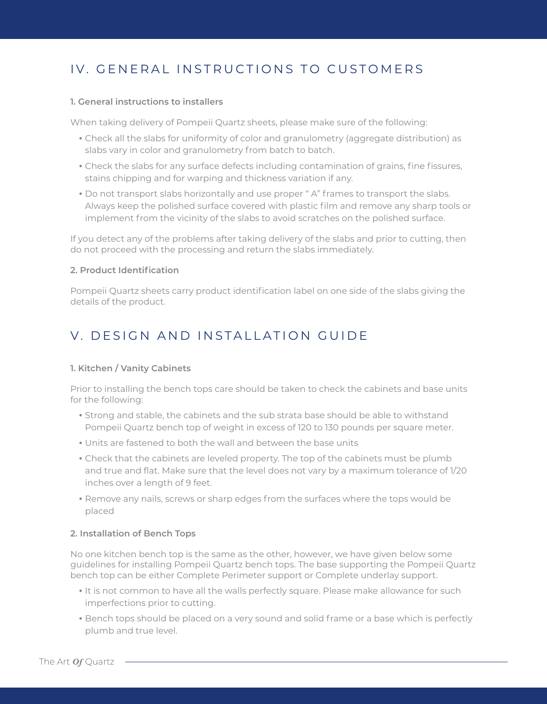## IV. GENERAL INSTRUCTIONS TO CUSTOMERS

#### **1. General instructions to installers**

When taking delivery of Pompeii Quartz sheets, please make sure of the following:

- •Check all the slabs for uniformity of color and granulometry (aggregate distribution) as slabs vary in color and granulometry from batch to batch.
- •Check the slabs for any surface defects including contamination of grains, fine fissures, stains chipping and for warping and thickness variation if any.
- •Do not transport slabs horizontally and use proper " A" frames to transport the slabs. Always keep the polished surface covered with plastic film and remove any sharp tools or implement from the vicinity of the slabs to avoid scratches on the polished surface.

If you detect any of the problems after taking delivery of the slabs and prior to cutting, then do not proceed with the processing and return the slabs immediately.

#### **2. Product Identification**

Pompeii Quartz sheets carry product identification label on one side of the slabs giving the details of the product.

## V. DESIGN AND INSTALLATION GUIDE

#### **1. Kitchen / Vanity Cabinets**

Prior to installing the bench tops care should be taken to check the cabinets and base units for the following:

- •Strong and stable, the cabinets and the sub strata base should be able to withstand Pompeii Quartz bench top of weight in excess of 120 to 130 pounds per square meter.
- •Units are fastened to both the wall and between the base units
- •Check that the cabinets are leveled property. The top of the cabinets must be plumb and true and flat. Make sure that the level does not vary by a maximum tolerance of 1/20 inches over a length of 9 feet.
- •Remove any nails, screws or sharp edges from the surfaces where the tops would be placed

#### **2. Installation of Bench Tops**

No one kitchen bench top is the same as the other, however, we have given below some guidelines for installing Pompeii Quartz bench tops. The base supporting the Pompeii Quartz bench top can be either Complete Perimeter support or Complete underlay support.

- •It is not common to have all the walls perfectly square. Please make allowance for such imperfections prior to cutting.
- •Bench tops should be placed on a very sound and solid frame or a base which is perfectly plumb and true level.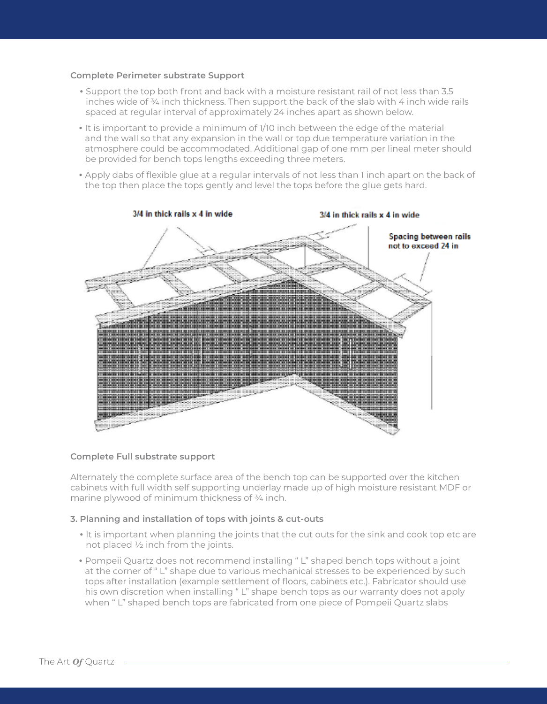#### **Complete Perimeter substrate Support**

- •Support the top both front and back with a moisture resistant rail of not less than 3.5 inches wide of ¾ inch thickness. Then support the back of the slab with 4 inch wide rails spaced at regular interval of approximately 24 inches apart as shown below.
- •It is important to provide a minimum of 1/10 inch between the edge of the material and the wall so that any expansion in the wall or top due temperature variation in the atmosphere could be accommodated. Additional gap of one mm per lineal meter should be provided for bench tops lengths exceeding three meters.
- •Apply dabs of flexible glue at a regular intervals of not less than 1 inch apart on the back of the top then place the tops gently and level the tops before the glue gets hard.



#### **Complete Full substrate support**

Alternately the complete surface area of the bench top can be supported over the kitchen cabinets with full width self supporting underlay made up of high moisture resistant MDF or marine plywood of minimum thickness of ¾ inch.

#### **3. Planning and installation of tops with joints & cut-outs**

- •It is important when planning the joints that the cut outs for the sink and cook top etc are not placed ½ inch from the joints.
- •Pompeii Quartz does not recommend installing " L" shaped bench tops without a joint at the corner of " L" shape due to various mechanical stresses to be experienced by such tops after installation (example settlement of floors, cabinets etc.). Fabricator should use his own discretion when installing " L" shape bench tops as our warranty does not apply when " L" shaped bench tops are fabricated from one piece of Pompeii Quartz slabs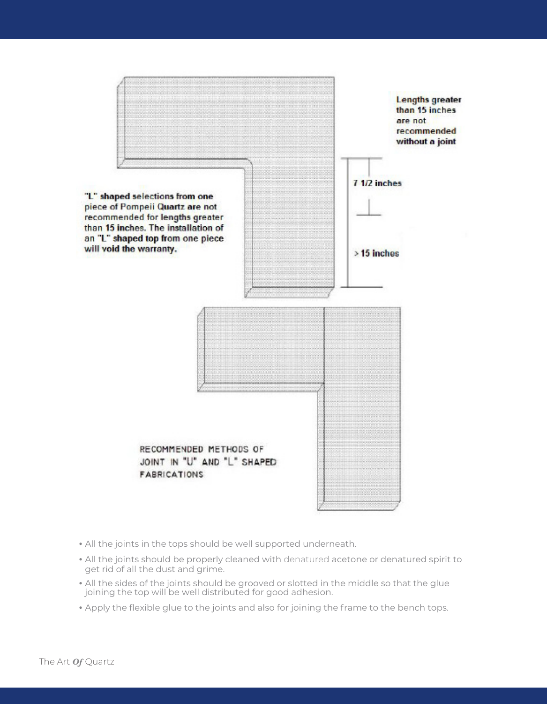

- •All the joints in the tops should be well supported underneath.
- •All the joints should be properly cleaned with denatured acetone or denatured spirit to get rid of all the dust and grime.
- •All the sides of the joints should be grooved or slotted in the middle so that the glue joining the top will be well distributed for good adhesion.
- •Apply the flexible glue to the joints and also for joining the frame to the bench tops.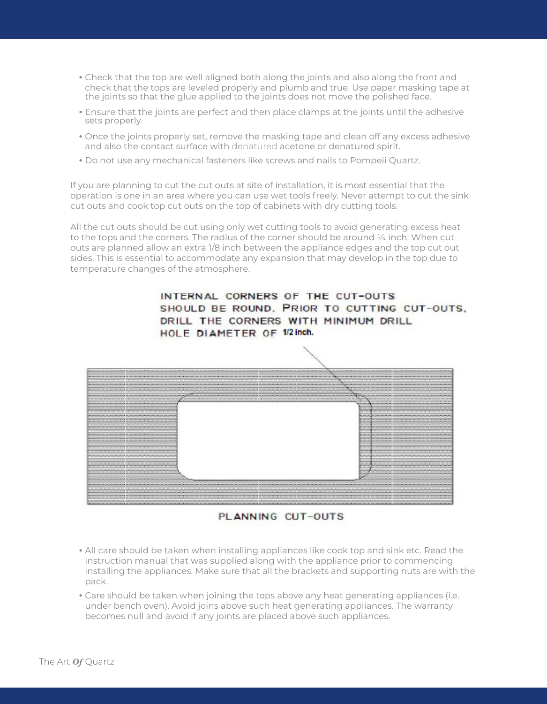- •Check that the top are well aligned both along the joints and also along the front and check that the tops are leveled properly and plumb and true. Use paper masking tape at the joints so that the glue applied to the joints does not move the polished face.
- •Ensure that the joints are perfect and then place clamps at the joints until the adhesive sets properly.
- •Once the joints properly set, remove the masking tape and clean off any excess adhesive and also the contact surface with denatured acetone or denatured spirit.
- •Do not use any mechanical fasteners like screws and nails to Pompeii Quartz.

If you are planning to cut the cut outs at site of installation, it is most essential that the operation is one in an area where you can use wet tools freely. Never attempt to cut the sink cut outs and cook top cut outs on the top of cabinets with dry cutting tools.

All the cut outs should be cut using only wet cutting tools to avoid generating excess heat to the tops and the corners. The radius of the corner should be around  $\frac{1}{4}$  inch. When cut outs are planned allow an extra 1/8 inch between the appliance edges and the top cut out sides. This is essential to accommodate any expansion that may develop in the top due to temperature changes of the atmosphere.

> INTERNAL CORNERS OF THE CUT-OUTS SHOULD BE ROUND. PRIOR TO CUTTING CUT-OUTS. DRILL THE CORNERS WITH MINIMUM DRILL HOLE DIAMETER OF 1/2 inch.



PLANNING CUT-OUTS

- •All care should be taken when installing appliances like cook top and sink etc. Read the instruction manual that was supplied along with the appliance prior to commencing installing the appliances. Make sure that all the brackets and supporting nuts are with the pack.
- •Care should be taken when joining the tops above any heat generating appliances (i.e. under bench oven). Avoid joins above such heat generating appliances. The warranty becomes null and avoid if any joints are placed above such appliances.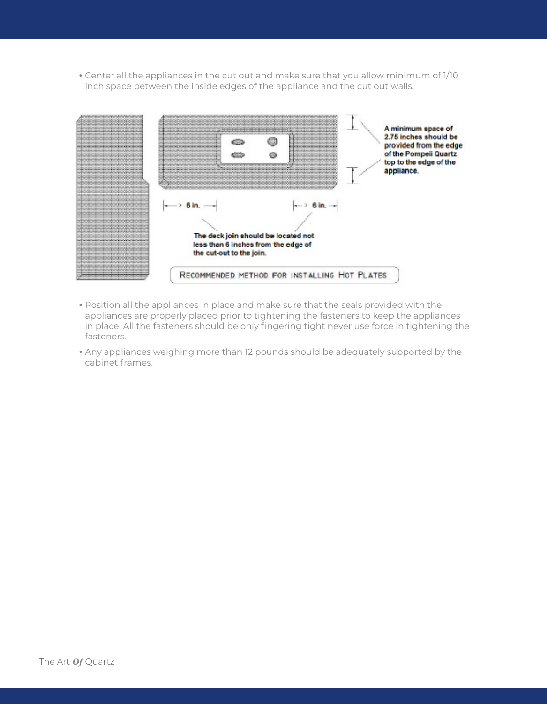•Center all the appliances in the cut out and make sure that you allow minimum of 1/10 inch space between the inside edges of the appliance and the cut out walls.



- •Position all the appliances in place and make sure that the seals provided with the appliances are properly placed prior to tightening the fasteners to keep the appliances in place. All the fasteners should be only fingering tight never use force in tightening the fasteners.
- •Any appliances weighing more than 12 pounds should be adequately supported by the cabinet frames.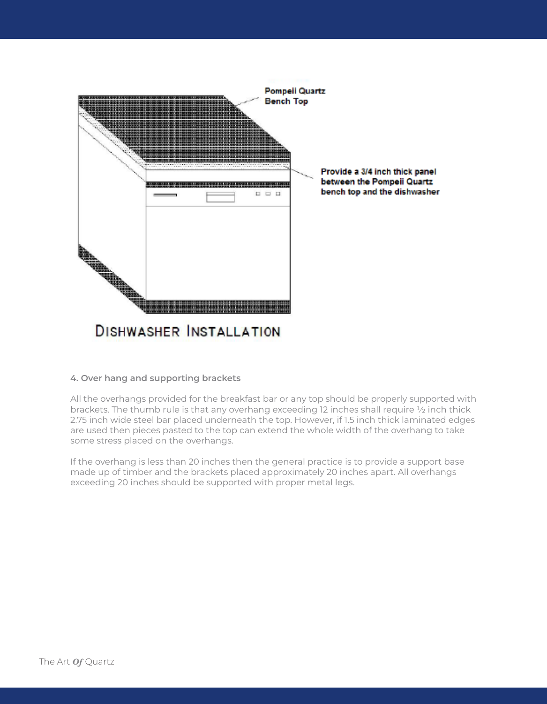

#### **4. Over hang and supporting brackets**

All the overhangs provided for the breakfast bar or any top should be properly supported with brackets. The thumb rule is that any overhang exceeding 12 inches shall require ½ inch thick 2.75 inch wide steel bar placed underneath the top. However, if 1.5 inch thick laminated edges are used then pieces pasted to the top can extend the whole width of the overhang to take some stress placed on the overhangs.

If the overhang is less than 20 inches then the general practice is to provide a support base made up of timber and the brackets placed approximately 20 inches apart. All overhangs exceeding 20 inches should be supported with proper metal legs.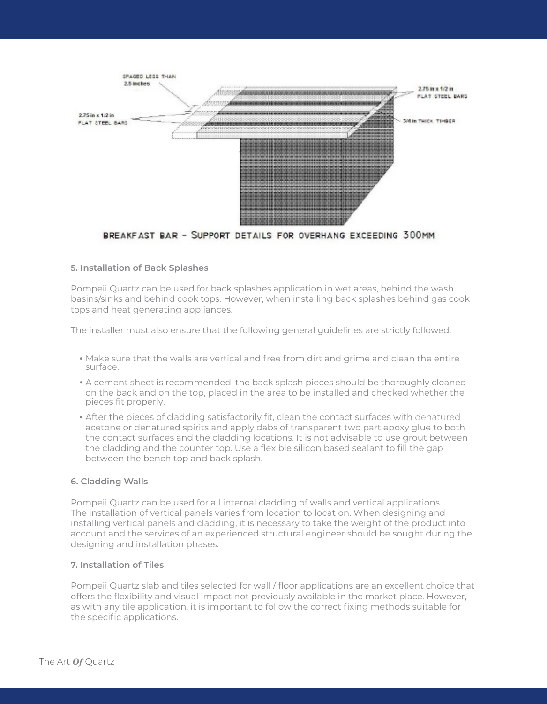

BREAKFAST BAR - SUPPORT DETAILS FOR OVERHANG EXCEEDING 300MM

#### **5. Installation of Back Splashes**

Pompeii Quartz can be used for back splashes application in wet areas, behind the wash basins/sinks and behind cook tops. However, when installing back splashes behind gas cook tops and heat generating appliances.

The installer must also ensure that the following general guidelines are strictly followed:

- •Make sure that the walls are vertical and free from dirt and grime and clean the entire surface.
- •A cement sheet is recommended, the back splash pieces should be thoroughly cleaned on the back and on the top, placed in the area to be installed and checked whether the pieces fit properly.
- •After the pieces of cladding satisfactorily fit, clean the contact surfaces with denatured acetone or denatured spirits and apply dabs of transparent two part epoxy glue to both the contact surfaces and the cladding locations. It is not advisable to use grout between the cladding and the counter top. Use a flexible silicon based sealant to fill the gap between the bench top and back splash.

#### **6. Cladding Walls**

Pompeii Quartz can be used for all internal cladding of walls and vertical applications. The installation of vertical panels varies from location to location. When designing and installing vertical panels and cladding, it is necessary to take the weight of the product into account and the services of an experienced structural engineer should be sought during the designing and installation phases.

#### **7. Installation of Tiles**

Pompeii Quartz slab and tiles selected for wall / floor applications are an excellent choice that offers the flexibility and visual impact not previously available in the market place. However, as with any tile application, it is important to follow the correct fixing methods suitable for the specific applications.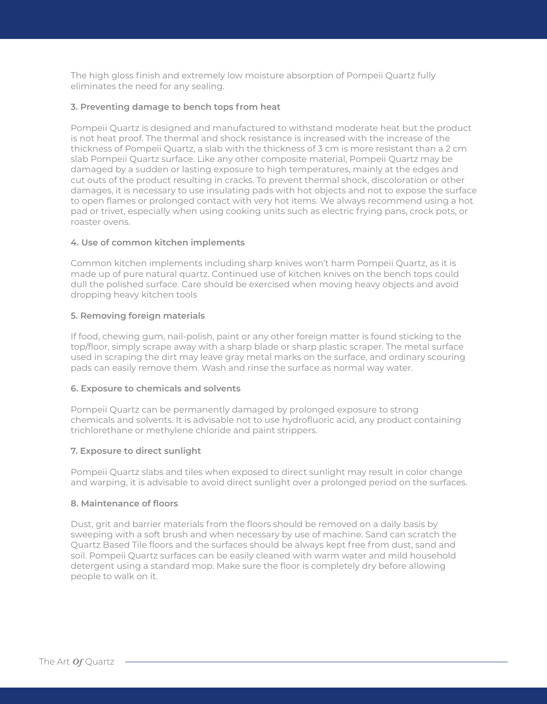The high gloss finish and extremely low moisture absorption of Pompeii Quartz fully eliminates the need for any sealing.

#### **3. Preventing damage to bench tops from heat**

Pompeii Quartz is designed and manufactured to withstand moderate heat but the product is not heat proof. The thermal and shock resistance is increased with the increase of the thickness of Pompeii Quartz, a slab with the thickness of 3 cm is more resistant than a 2 cm slab Pompeii Quartz surface. Like any other composite material, Pompeii Quartz may be damaged by a sudden or lasting exposure to high temperatures, mainly at the edges and cut outs of the product resulting in cracks. To prevent thermal shock, discoloration or other damages, it is necessary to use insulating pads with hot objects and not to expose the surface to open flames or prolonged contact with very hot items. We always recommend using a hot pad or trivet, especially when using cooking units such as electric frying pans, crock pots, or roaster ovens.

#### **4. Use of common kitchen implements**

Common kitchen implements including sharp knives won't harm Pompeii Quartz, as it is made up of pure natural quartz. Continued use of kitchen knives on the bench tops could dull the polished surface. Care should be exercised when moving heavy objects and avoid dropping heavy kitchen tools

#### **5. Removing foreign materials**

If food, chewing gum, nail-polish, paint or any other foreign matter is found sticking to the top/floor, simply scrape away with a sharp blade or sharp plastic scraper. The metal surface used in scraping the dirt may leave gray metal marks on the surface, and ordinary scouring pads can easily remove them. Wash and rinse the surface as normal way water.

#### **6. Exposure to chemicals and solvents**

Pompeii Quartz can be permanently damaged by prolonged exposure to strong chemicals and solvents. It is advisable not to use hydrofluoric acid, any product containing trichlorethane or methylene chloride and paint strippers.

#### **7. Exposure to direct sunlight**

Pompeii Quartz slabs and tiles when exposed to direct sunlight may result in color change and warping, it is advisable to avoid direct sunlight over a prolonged period on the surfaces.

#### **8. Maintenance of floors**

Dust, grit and barrier materials from the floors should be removed on a daily basis by sweeping with a soft brush and when necessary by use of machine. Sand can scratch the Quartz Based Tile floors and the surfaces should be always kept free from dust, sand and soil. Pompeii Quartz surfaces can be easily cleaned with warm water and mild household detergent using a standard mop. Make sure the floor is completely dry before allowing people to walk on it.